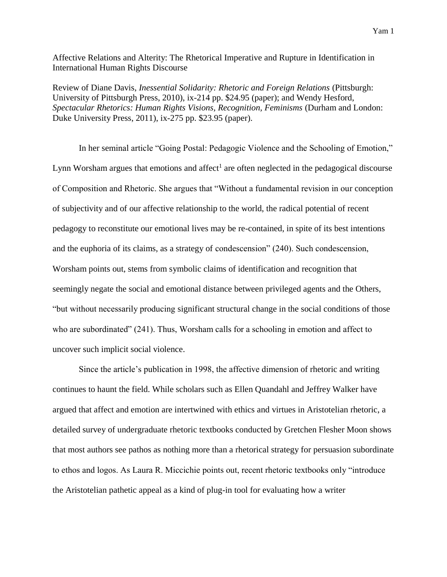Affective Relations and Alterity: The Rhetorical Imperative and Rupture in Identification in International Human Rights Discourse

Review of Diane Davis, *Inessential Solidarity: Rhetoric and Foreign Relations* (Pittsburgh: University of Pittsburgh Press, 2010), ix-214 pp. \$24.95 (paper); and Wendy Hesford, *Spectacular Rhetorics: Human Rights Visions, Recognition, Feminisms* (Durham and London: Duke University Press, 2011), ix-275 pp. \$23.95 (paper).

In her seminal article "Going Postal: Pedagogic Violence and the Schooling of Emotion," Lynn Worsham argues that emotions and affect<sup>1</sup> are often neglected in the pedagogical discourse of Composition and Rhetoric. She argues that "Without a fundamental revision in our conception of subjectivity and of our affective relationship to the world, the radical potential of recent pedagogy to reconstitute our emotional lives may be re-contained, in spite of its best intentions and the euphoria of its claims, as a strategy of condescension" (240). Such condescension, Worsham points out, stems from symbolic claims of identification and recognition that seemingly negate the social and emotional distance between privileged agents and the Others, "but without necessarily producing significant structural change in the social conditions of those who are subordinated" (241). Thus, Worsham calls for a schooling in emotion and affect to uncover such implicit social violence.

Since the article's publication in 1998, the affective dimension of rhetoric and writing continues to haunt the field. While scholars such as Ellen Quandahl and Jeffrey Walker have argued that affect and emotion are intertwined with ethics and virtues in Aristotelian rhetoric, a detailed survey of undergraduate rhetoric textbooks conducted by Gretchen Flesher Moon shows that most authors see pathos as nothing more than a rhetorical strategy for persuasion subordinate to ethos and logos. As Laura R. Miccichie points out, recent rhetoric textbooks only "introduce the Aristotelian pathetic appeal as a kind of plug-in tool for evaluating how a writer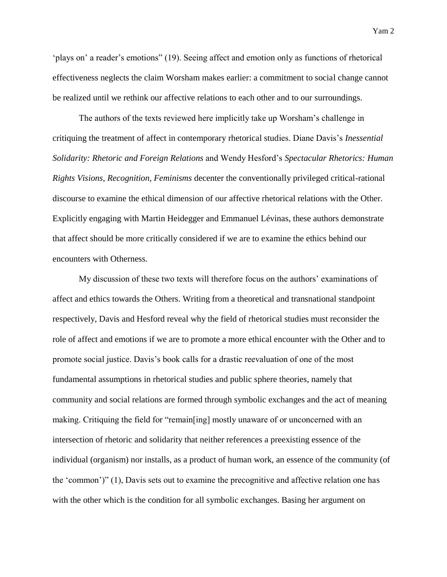'plays on' a reader's emotions" (19). Seeing affect and emotion only as functions of rhetorical effectiveness neglects the claim Worsham makes earlier: a commitment to social change cannot be realized until we rethink our affective relations to each other and to our surroundings.

The authors of the texts reviewed here implicitly take up Worsham's challenge in critiquing the treatment of affect in contemporary rhetorical studies. Diane Davis's *Inessential Solidarity: Rhetoric and Foreign Relations* and Wendy Hesford's *Spectacular Rhetorics: Human Rights Visions, Recognition, Feminisms* decenter the conventionally privileged critical-rational discourse to examine the ethical dimension of our affective rhetorical relations with the Other. Explicitly engaging with Martin Heidegger and Emmanuel Lévinas, these authors demonstrate that affect should be more critically considered if we are to examine the ethics behind our encounters with Otherness.

My discussion of these two texts will therefore focus on the authors' examinations of affect and ethics towards the Others. Writing from a theoretical and transnational standpoint respectively, Davis and Hesford reveal why the field of rhetorical studies must reconsider the role of affect and emotions if we are to promote a more ethical encounter with the Other and to promote social justice. Davis's book calls for a drastic reevaluation of one of the most fundamental assumptions in rhetorical studies and public sphere theories, namely that community and social relations are formed through symbolic exchanges and the act of meaning making. Critiquing the field for "remain[ing] mostly unaware of or unconcerned with an intersection of rhetoric and solidarity that neither references a preexisting essence of the individual (organism) nor installs, as a product of human work, an essence of the community (of the 'common')" (1), Davis sets out to examine the precognitive and affective relation one has with the other which is the condition for all symbolic exchanges. Basing her argument on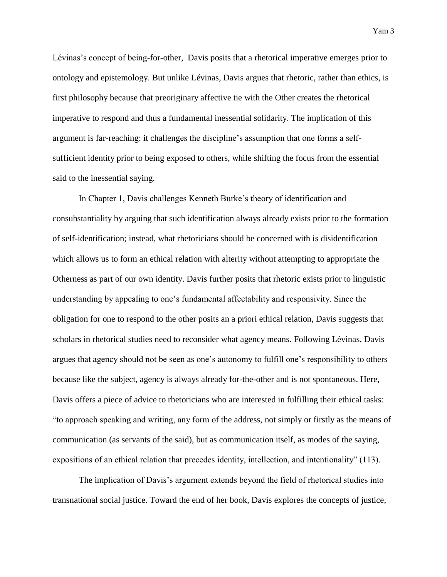Lévinas's concept of being-for-other, Davis posits that a rhetorical imperative emerges prior to ontology and epistemology. But unlike Lévinas, Davis argues that rhetoric, rather than ethics, is first philosophy because that preoriginary affective tie with the Other creates the rhetorical imperative to respond and thus a fundamental inessential solidarity. The implication of this argument is far-reaching: it challenges the discipline's assumption that one forms a selfsufficient identity prior to being exposed to others, while shifting the focus from the essential said to the inessential saying.

In Chapter 1, Davis challenges Kenneth Burke's theory of identification and consubstantiality by arguing that such identification always already exists prior to the formation of self-identification; instead, what rhetoricians should be concerned with is disidentification which allows us to form an ethical relation with alterity without attempting to appropriate the Otherness as part of our own identity. Davis further posits that rhetoric exists prior to linguistic understanding by appealing to one's fundamental affectability and responsivity. Since the obligation for one to respond to the other posits an a priori ethical relation, Davis suggests that scholars in rhetorical studies need to reconsider what agency means. Following Lévinas, Davis argues that agency should not be seen as one's autonomy to fulfill one's responsibility to others because like the subject, agency is always already for-the-other and is not spontaneous. Here, Davis offers a piece of advice to rhetoricians who are interested in fulfilling their ethical tasks: "to approach speaking and writing, any form of the address, not simply or firstly as the means of communication (as servants of the said), but as communication itself, as modes of the saying, expositions of an ethical relation that precedes identity, intellection, and intentionality" (113).

The implication of Davis's argument extends beyond the field of rhetorical studies into transnational social justice. Toward the end of her book, Davis explores the concepts of justice,

Yam 3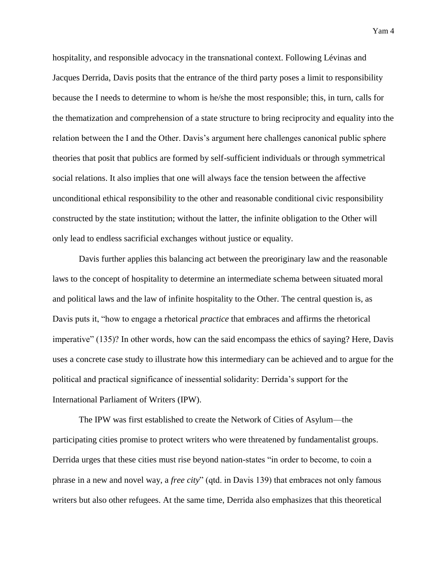hospitality, and responsible advocacy in the transnational context. Following Lévinas and Jacques Derrida, Davis posits that the entrance of the third party poses a limit to responsibility because the I needs to determine to whom is he/she the most responsible; this, in turn, calls for the thematization and comprehension of a state structure to bring reciprocity and equality into the relation between the I and the Other. Davis's argument here challenges canonical public sphere theories that posit that publics are formed by self-sufficient individuals or through symmetrical social relations. It also implies that one will always face the tension between the affective unconditional ethical responsibility to the other and reasonable conditional civic responsibility constructed by the state institution; without the latter, the infinite obligation to the Other will only lead to endless sacrificial exchanges without justice or equality.

Davis further applies this balancing act between the preoriginary law and the reasonable laws to the concept of hospitality to determine an intermediate schema between situated moral and political laws and the law of infinite hospitality to the Other. The central question is, as Davis puts it, "how to engage a rhetorical *practice* that embraces and affirms the rhetorical imperative" (135)? In other words, how can the said encompass the ethics of saying? Here, Davis uses a concrete case study to illustrate how this intermediary can be achieved and to argue for the political and practical significance of inessential solidarity: Derrida's support for the International Parliament of Writers (IPW).

The IPW was first established to create the Network of Cities of Asylum—the participating cities promise to protect writers who were threatened by fundamentalist groups. Derrida urges that these cities must rise beyond nation-states "in order to become, to coin a phrase in a new and novel way, a *free city*" (qtd. in Davis 139) that embraces not only famous writers but also other refugees. At the same time, Derrida also emphasizes that this theoretical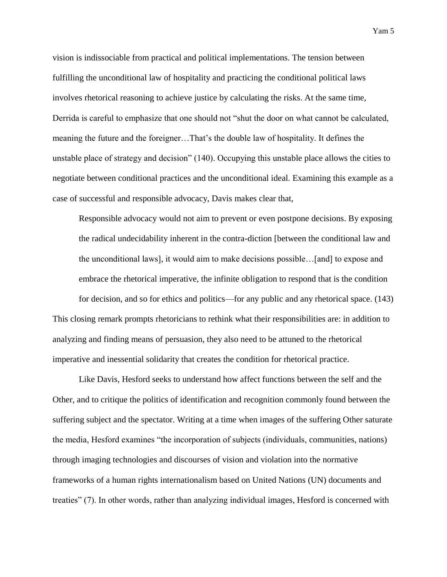vision is indissociable from practical and political implementations. The tension between fulfilling the unconditional law of hospitality and practicing the conditional political laws involves rhetorical reasoning to achieve justice by calculating the risks. At the same time, Derrida is careful to emphasize that one should not "shut the door on what cannot be calculated, meaning the future and the foreigner…That's the double law of hospitality. It defines the unstable place of strategy and decision" (140). Occupying this unstable place allows the cities to negotiate between conditional practices and the unconditional ideal. Examining this example as a case of successful and responsible advocacy, Davis makes clear that,

Responsible advocacy would not aim to prevent or even postpone decisions. By exposing the radical undecidability inherent in the contra-diction [between the conditional law and the unconditional laws], it would aim to make decisions possible…[and] to expose and embrace the rhetorical imperative, the infinite obligation to respond that is the condition for decision, and so for ethics and politics—for any public and any rhetorical space. (143)

This closing remark prompts rhetoricians to rethink what their responsibilities are: in addition to analyzing and finding means of persuasion, they also need to be attuned to the rhetorical imperative and inessential solidarity that creates the condition for rhetorical practice.

Like Davis, Hesford seeks to understand how affect functions between the self and the Other, and to critique the politics of identification and recognition commonly found between the suffering subject and the spectator. Writing at a time when images of the suffering Other saturate the media, Hesford examines "the incorporation of subjects (individuals, communities, nations) through imaging technologies and discourses of vision and violation into the normative frameworks of a human rights internationalism based on United Nations (UN) documents and treaties" (7). In other words, rather than analyzing individual images, Hesford is concerned with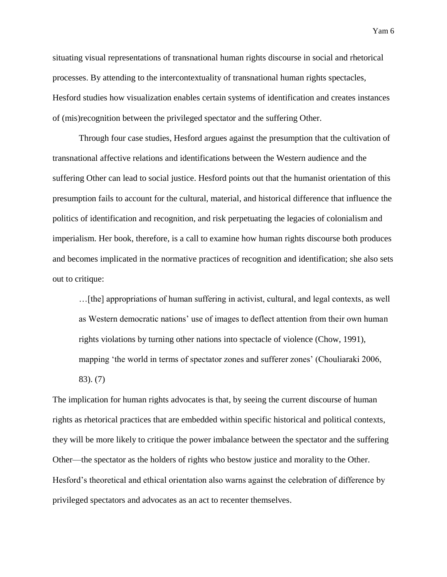situating visual representations of transnational human rights discourse in social and rhetorical processes. By attending to the intercontextuality of transnational human rights spectacles, Hesford studies how visualization enables certain systems of identification and creates instances of (mis)recognition between the privileged spectator and the suffering Other.

Through four case studies, Hesford argues against the presumption that the cultivation of transnational affective relations and identifications between the Western audience and the suffering Other can lead to social justice. Hesford points out that the humanist orientation of this presumption fails to account for the cultural, material, and historical difference that influence the politics of identification and recognition, and risk perpetuating the legacies of colonialism and imperialism. Her book, therefore, is a call to examine how human rights discourse both produces and becomes implicated in the normative practices of recognition and identification; she also sets out to critique:

…[the] appropriations of human suffering in activist, cultural, and legal contexts, as well as Western democratic nations' use of images to deflect attention from their own human rights violations by turning other nations into spectacle of violence (Chow, 1991), mapping 'the world in terms of spectator zones and sufferer zones' (Chouliaraki 2006, 83). (7)

The implication for human rights advocates is that, by seeing the current discourse of human rights as rhetorical practices that are embedded within specific historical and political contexts, they will be more likely to critique the power imbalance between the spectator and the suffering Other—the spectator as the holders of rights who bestow justice and morality to the Other. Hesford's theoretical and ethical orientation also warns against the celebration of difference by privileged spectators and advocates as an act to recenter themselves.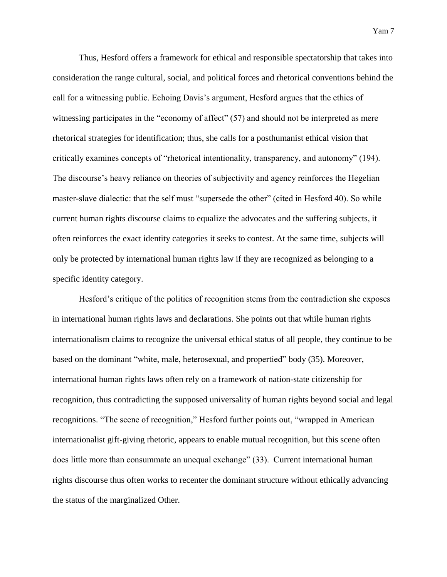Thus, Hesford offers a framework for ethical and responsible spectatorship that takes into consideration the range cultural, social, and political forces and rhetorical conventions behind the call for a witnessing public. Echoing Davis's argument, Hesford argues that the ethics of witnessing participates in the "economy of affect" (57) and should not be interpreted as mere rhetorical strategies for identification; thus, she calls for a posthumanist ethical vision that critically examines concepts of "rhetorical intentionality, transparency, and autonomy" (194). The discourse's heavy reliance on theories of subjectivity and agency reinforces the Hegelian master-slave dialectic: that the self must "supersede the other" (cited in Hesford 40). So while current human rights discourse claims to equalize the advocates and the suffering subjects, it often reinforces the exact identity categories it seeks to contest. At the same time, subjects will only be protected by international human rights law if they are recognized as belonging to a specific identity category.

Hesford's critique of the politics of recognition stems from the contradiction she exposes in international human rights laws and declarations. She points out that while human rights internationalism claims to recognize the universal ethical status of all people, they continue to be based on the dominant "white, male, heterosexual, and propertied" body (35). Moreover, international human rights laws often rely on a framework of nation-state citizenship for recognition, thus contradicting the supposed universality of human rights beyond social and legal recognitions. "The scene of recognition," Hesford further points out, "wrapped in American internationalist gift-giving rhetoric, appears to enable mutual recognition, but this scene often does little more than consummate an unequal exchange" (33). Current international human rights discourse thus often works to recenter the dominant structure without ethically advancing the status of the marginalized Other.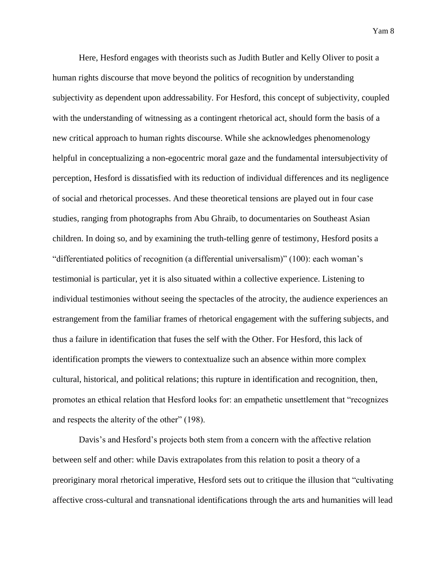Here, Hesford engages with theorists such as Judith Butler and Kelly Oliver to posit a human rights discourse that move beyond the politics of recognition by understanding subjectivity as dependent upon addressability. For Hesford, this concept of subjectivity, coupled with the understanding of witnessing as a contingent rhetorical act, should form the basis of a new critical approach to human rights discourse. While she acknowledges phenomenology helpful in conceptualizing a non-egocentric moral gaze and the fundamental intersubjectivity of perception, Hesford is dissatisfied with its reduction of individual differences and its negligence of social and rhetorical processes. And these theoretical tensions are played out in four case studies, ranging from photographs from Abu Ghraib, to documentaries on Southeast Asian children. In doing so, and by examining the truth-telling genre of testimony, Hesford posits a "differentiated politics of recognition (a differential universalism)" (100): each woman's testimonial is particular, yet it is also situated within a collective experience. Listening to individual testimonies without seeing the spectacles of the atrocity, the audience experiences an estrangement from the familiar frames of rhetorical engagement with the suffering subjects, and thus a failure in identification that fuses the self with the Other. For Hesford, this lack of identification prompts the viewers to contextualize such an absence within more complex cultural, historical, and political relations; this rupture in identification and recognition, then, promotes an ethical relation that Hesford looks for: an empathetic unsettlement that "recognizes and respects the alterity of the other" (198).

Davis's and Hesford's projects both stem from a concern with the affective relation between self and other: while Davis extrapolates from this relation to posit a theory of a preoriginary moral rhetorical imperative, Hesford sets out to critique the illusion that "cultivating affective cross-cultural and transnational identifications through the arts and humanities will lead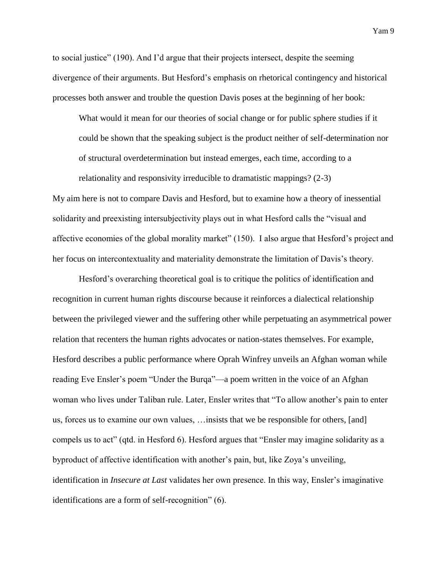to social justice" (190). And I'd argue that their projects intersect, despite the seeming divergence of their arguments. But Hesford's emphasis on rhetorical contingency and historical processes both answer and trouble the question Davis poses at the beginning of her book:

What would it mean for our theories of social change or for public sphere studies if it could be shown that the speaking subject is the product neither of self-determination nor of structural overdetermination but instead emerges, each time, according to a

My aim here is not to compare Davis and Hesford, but to examine how a theory of inessential solidarity and preexisting intersubjectivity plays out in what Hesford calls the "visual and affective economies of the global morality market" (150). I also argue that Hesford's project and her focus on intercontextuality and materiality demonstrate the limitation of Davis's theory.

relationality and responsivity irreducible to dramatistic mappings? (2-3)

Hesford's overarching theoretical goal is to critique the politics of identification and recognition in current human rights discourse because it reinforces a dialectical relationship between the privileged viewer and the suffering other while perpetuating an asymmetrical power relation that recenters the human rights advocates or nation-states themselves. For example, Hesford describes a public performance where Oprah Winfrey unveils an Afghan woman while reading Eve Ensler's poem "Under the Burqa"—a poem written in the voice of an Afghan woman who lives under Taliban rule. Later, Ensler writes that "To allow another's pain to enter us, forces us to examine our own values, …insists that we be responsible for others, [and] compels us to act" (qtd. in Hesford 6). Hesford argues that "Ensler may imagine solidarity as a byproduct of affective identification with another's pain, but, like Zoya's unveiling, identification in *Insecure at Last* validates her own presence. In this way, Ensler's imaginative identifications are a form of self-recognition" (6).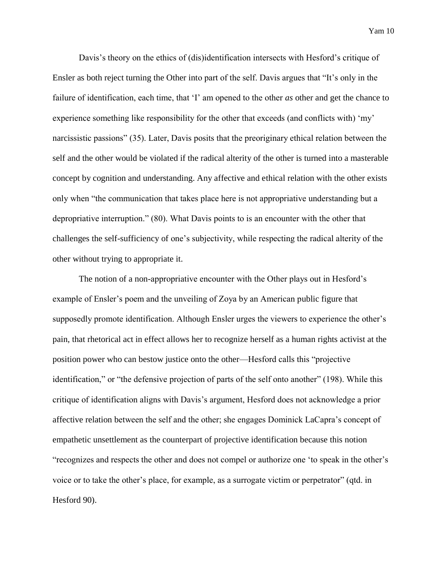Davis's theory on the ethics of (dis)identification intersects with Hesford's critique of Ensler as both reject turning the Other into part of the self. Davis argues that "It's only in the failure of identification, each time, that 'I' am opened to the other *as* other and get the chance to experience something like responsibility for the other that exceeds (and conflicts with) 'my' narcissistic passions" (35). Later, Davis posits that the preoriginary ethical relation between the self and the other would be violated if the radical alterity of the other is turned into a masterable concept by cognition and understanding. Any affective and ethical relation with the other exists only when "the communication that takes place here is not appropriative understanding but a depropriative interruption." (80). What Davis points to is an encounter with the other that challenges the self-sufficiency of one's subjectivity, while respecting the radical alterity of the other without trying to appropriate it.

The notion of a non-appropriative encounter with the Other plays out in Hesford's example of Ensler's poem and the unveiling of Zoya by an American public figure that supposedly promote identification. Although Ensler urges the viewers to experience the other's pain, that rhetorical act in effect allows her to recognize herself as a human rights activist at the position power who can bestow justice onto the other—Hesford calls this "projective identification," or "the defensive projection of parts of the self onto another" (198). While this critique of identification aligns with Davis's argument, Hesford does not acknowledge a prior affective relation between the self and the other; she engages Dominick LaCapra's concept of empathetic unsettlement as the counterpart of projective identification because this notion "recognizes and respects the other and does not compel or authorize one 'to speak in the other's voice or to take the other's place, for example, as a surrogate victim or perpetrator" (qtd. in Hesford 90).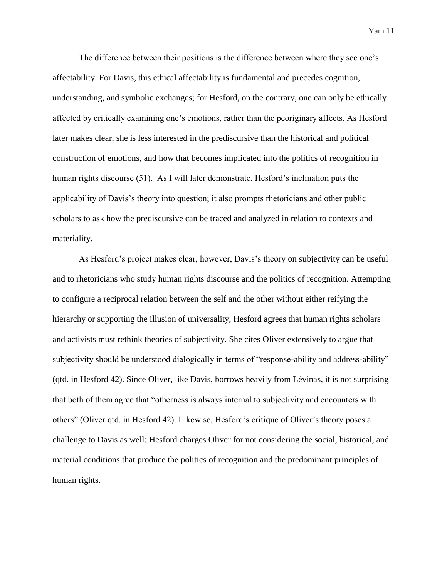The difference between their positions is the difference between where they see one's affectability. For Davis, this ethical affectability is fundamental and precedes cognition, understanding, and symbolic exchanges; for Hesford, on the contrary, one can only be ethically affected by critically examining one's emotions, rather than the peoriginary affects. As Hesford later makes clear, she is less interested in the prediscursive than the historical and political construction of emotions, and how that becomes implicated into the politics of recognition in human rights discourse (51). As I will later demonstrate, Hesford's inclination puts the applicability of Davis's theory into question; it also prompts rhetoricians and other public scholars to ask how the prediscursive can be traced and analyzed in relation to contexts and materiality.

As Hesford's project makes clear, however, Davis's theory on subjectivity can be useful and to rhetoricians who study human rights discourse and the politics of recognition. Attempting to configure a reciprocal relation between the self and the other without either reifying the hierarchy or supporting the illusion of universality, Hesford agrees that human rights scholars and activists must rethink theories of subjectivity. She cites Oliver extensively to argue that subjectivity should be understood dialogically in terms of "response-ability and address-ability" (qtd. in Hesford 42). Since Oliver, like Davis, borrows heavily from Lévinas, it is not surprising that both of them agree that "otherness is always internal to subjectivity and encounters with others" (Oliver qtd. in Hesford 42). Likewise, Hesford's critique of Oliver's theory poses a challenge to Davis as well: Hesford charges Oliver for not considering the social, historical, and material conditions that produce the politics of recognition and the predominant principles of human rights.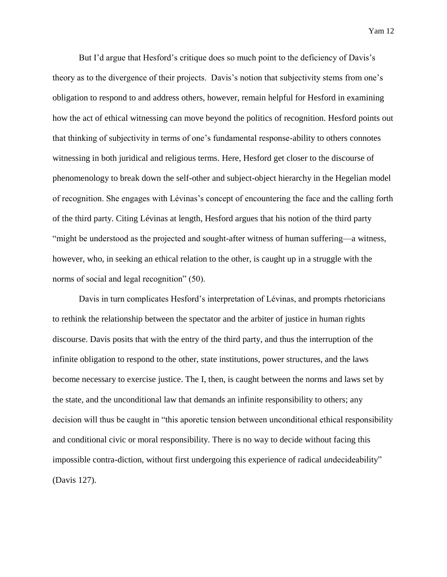But I'd argue that Hesford's critique does so much point to the deficiency of Davis's theory as to the divergence of their projects. Davis's notion that subjectivity stems from one's obligation to respond to and address others, however, remain helpful for Hesford in examining how the act of ethical witnessing can move beyond the politics of recognition. Hesford points out that thinking of subjectivity in terms of one's fundamental response-ability to others connotes witnessing in both juridical and religious terms. Here, Hesford get closer to the discourse of phenomenology to break down the self-other and subject-object hierarchy in the Hegelian model of recognition. She engages with Lévinas's concept of encountering the face and the calling forth of the third party. Citing Lévinas at length, Hesford argues that his notion of the third party "might be understood as the projected and sought-after witness of human suffering—a witness, however, who, in seeking an ethical relation to the other, is caught up in a struggle with the norms of social and legal recognition" (50).

Davis in turn complicates Hesford's interpretation of Lévinas, and prompts rhetoricians to rethink the relationship between the spectator and the arbiter of justice in human rights discourse. Davis posits that with the entry of the third party, and thus the interruption of the infinite obligation to respond to the other, state institutions, power structures, and the laws become necessary to exercise justice. The I, then, is caught between the norms and laws set by the state, and the unconditional law that demands an infinite responsibility to others; any decision will thus be caught in "this aporetic tension between unconditional ethical responsibility and conditional civic or moral responsibility. There is no way to decide without facing this impossible contra-diction, without first undergoing this experience of radical *un*decideability" (Davis 127).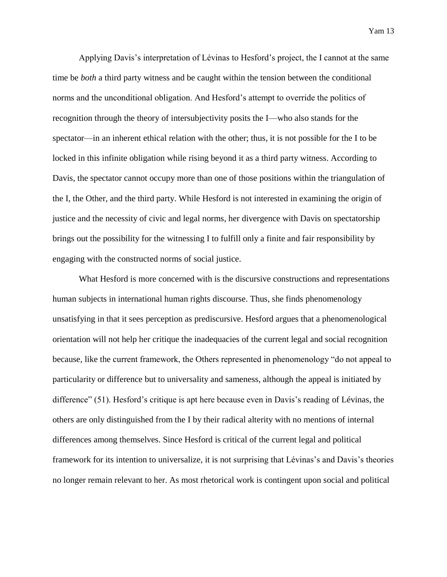Applying Davis's interpretation of Lévinas to Hesford's project, the I cannot at the same time be *both* a third party witness and be caught within the tension between the conditional norms and the unconditional obligation. And Hesford's attempt to override the politics of recognition through the theory of intersubjectivity posits the I—who also stands for the spectator—in an inherent ethical relation with the other; thus, it is not possible for the I to be locked in this infinite obligation while rising beyond it as a third party witness. According to Davis, the spectator cannot occupy more than one of those positions within the triangulation of the I, the Other, and the third party. While Hesford is not interested in examining the origin of justice and the necessity of civic and legal norms, her divergence with Davis on spectatorship brings out the possibility for the witnessing I to fulfill only a finite and fair responsibility by engaging with the constructed norms of social justice.

What Hesford is more concerned with is the discursive constructions and representations human subjects in international human rights discourse. Thus, she finds phenomenology unsatisfying in that it sees perception as prediscursive. Hesford argues that a phenomenological orientation will not help her critique the inadequacies of the current legal and social recognition because, like the current framework, the Others represented in phenomenology "do not appeal to particularity or difference but to universality and sameness, although the appeal is initiated by difference" (51). Hesford's critique is apt here because even in Davis's reading of Lévinas, the others are only distinguished from the I by their radical alterity with no mentions of internal differences among themselves. Since Hesford is critical of the current legal and political framework for its intention to universalize, it is not surprising that Lévinas's and Davis's theories no longer remain relevant to her. As most rhetorical work is contingent upon social and political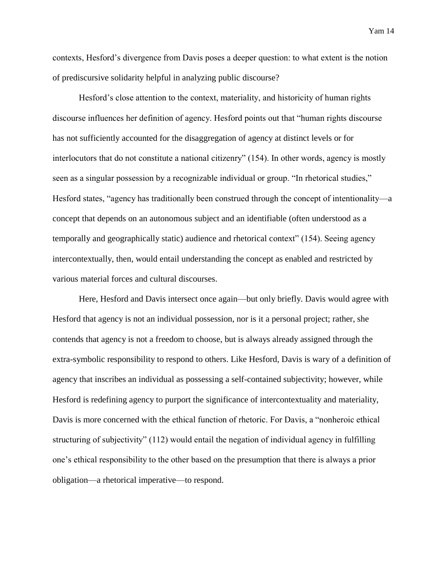contexts, Hesford's divergence from Davis poses a deeper question: to what extent is the notion of prediscursive solidarity helpful in analyzing public discourse?

Hesford's close attention to the context, materiality, and historicity of human rights discourse influences her definition of agency. Hesford points out that "human rights discourse has not sufficiently accounted for the disaggregation of agency at distinct levels or for interlocutors that do not constitute a national citizenry" (154). In other words, agency is mostly seen as a singular possession by a recognizable individual or group. "In rhetorical studies," Hesford states, "agency has traditionally been construed through the concept of intentionality—a concept that depends on an autonomous subject and an identifiable (often understood as a temporally and geographically static) audience and rhetorical context" (154). Seeing agency intercontextually, then, would entail understanding the concept as enabled and restricted by various material forces and cultural discourses.

Here, Hesford and Davis intersect once again—but only briefly. Davis would agree with Hesford that agency is not an individual possession, nor is it a personal project; rather, she contends that agency is not a freedom to choose, but is always already assigned through the extra-symbolic responsibility to respond to others. Like Hesford, Davis is wary of a definition of agency that inscribes an individual as possessing a self-contained subjectivity; however, while Hesford is redefining agency to purport the significance of intercontextuality and materiality, Davis is more concerned with the ethical function of rhetoric. For Davis, a "nonheroic ethical structuring of subjectivity" (112) would entail the negation of individual agency in fulfilling one's ethical responsibility to the other based on the presumption that there is always a prior obligation—a rhetorical imperative—to respond.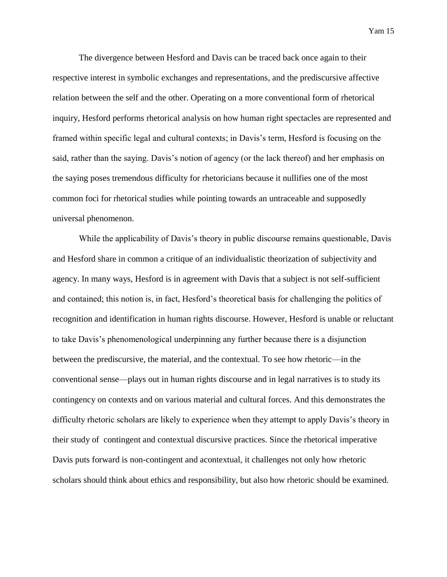The divergence between Hesford and Davis can be traced back once again to their respective interest in symbolic exchanges and representations, and the prediscursive affective relation between the self and the other. Operating on a more conventional form of rhetorical inquiry, Hesford performs rhetorical analysis on how human right spectacles are represented and framed within specific legal and cultural contexts; in Davis's term, Hesford is focusing on the said, rather than the saying. Davis's notion of agency (or the lack thereof) and her emphasis on the saying poses tremendous difficulty for rhetoricians because it nullifies one of the most common foci for rhetorical studies while pointing towards an untraceable and supposedly universal phenomenon.

While the applicability of Davis's theory in public discourse remains questionable, Davis and Hesford share in common a critique of an individualistic theorization of subjectivity and agency. In many ways, Hesford is in agreement with Davis that a subject is not self-sufficient and contained; this notion is, in fact, Hesford's theoretical basis for challenging the politics of recognition and identification in human rights discourse. However, Hesford is unable or reluctant to take Davis's phenomenological underpinning any further because there is a disjunction between the prediscursive, the material, and the contextual. To see how rhetoric—in the conventional sense—plays out in human rights discourse and in legal narratives is to study its contingency on contexts and on various material and cultural forces. And this demonstrates the difficulty rhetoric scholars are likely to experience when they attempt to apply Davis's theory in their study of contingent and contextual discursive practices. Since the rhetorical imperative Davis puts forward is non-contingent and acontextual, it challenges not only how rhetoric scholars should think about ethics and responsibility, but also how rhetoric should be examined.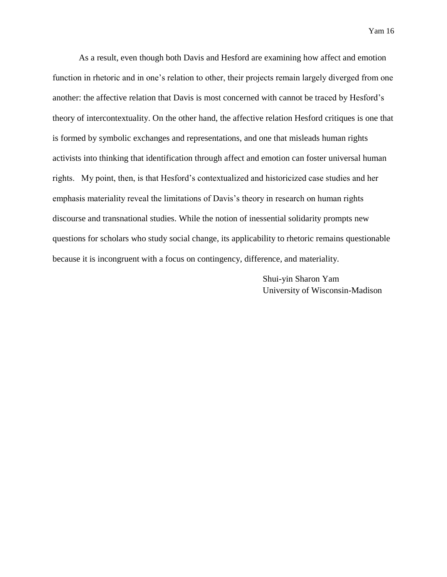As a result, even though both Davis and Hesford are examining how affect and emotion function in rhetoric and in one's relation to other, their projects remain largely diverged from one another: the affective relation that Davis is most concerned with cannot be traced by Hesford's theory of intercontextuality. On the other hand, the affective relation Hesford critiques is one that is formed by symbolic exchanges and representations, and one that misleads human rights activists into thinking that identification through affect and emotion can foster universal human rights. My point, then, is that Hesford's contextualized and historicized case studies and her emphasis materiality reveal the limitations of Davis's theory in research on human rights discourse and transnational studies. While the notion of inessential solidarity prompts new questions for scholars who study social change, its applicability to rhetoric remains questionable because it is incongruent with a focus on contingency, difference, and materiality.

> Shui-yin Sharon Yam University of Wisconsin-Madison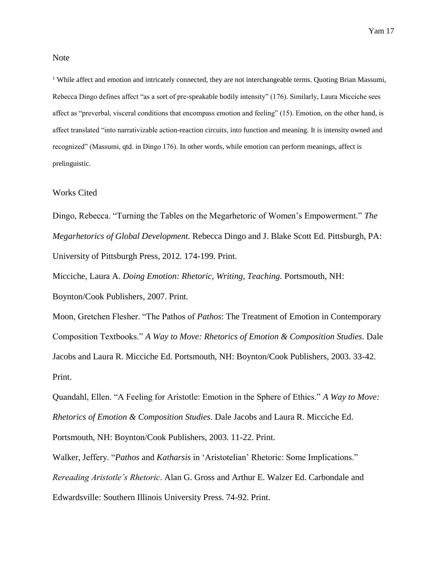Note

<sup>1</sup> While affect and emotion and intricately connected, they are not interchangeable terms. Quoting Brian Massumi, Rebecca Dingo defines affect "as a sort of pre-speakable bodily intensity" (176). Similarly, Laura Micciche sees affect as "preverbal, visceral conditions that encompass emotion and feeling" (15). Emotion, on the other hand, is affect translated "into narrativizable action-reaction circuits, into function and meaning. It is intensity owned and recognized" (Massumi, qtd. in Dingo 176). In other words, while emotion can perform meanings, affect is prelinguistic.

## Works Cited

Dingo, Rebecca. "Turning the Tables on the Megarhetoric of Women's Empowerment." *The Megarhetorics of Global Development.* Rebecca Dingo and J. Blake Scott Ed. Pittsburgh, PA: University of Pittsburgh Press, 2012. 174-199. Print.

Micciche, Laura A. *Doing Emotion: Rhetoric, Writing, Teaching.* Portsmouth, NH: Boynton/Cook Publishers, 2007. Print.

Moon, Gretchen Flesher. "The Pathos of *Pathos*: The Treatment of Emotion in Contemporary Composition Textbooks." *A Way to Move: Rhetorics of Emotion & Composition Studies*. Dale Jacobs and Laura R. Micciche Ed. Portsmouth, NH: Boynton/Cook Publishers, 2003. 33-42. Print.

Quandahl, Ellen. "A Feeling for Aristotle: Emotion in the Sphere of Ethics." *A Way to Move: Rhetorics of Emotion & Composition Studies*. Dale Jacobs and Laura R. Micciche Ed.

Portsmouth, NH: Boynton/Cook Publishers, 2003. 11-22. Print.

Walker, Jeffery. "*Pathos* and *Katharsis* in 'Aristotelian' Rhetoric: Some Implications." *Rereading Aristotle's Rhetoric*. Alan G. Gross and Arthur E. Walzer Ed. Carbondale and Edwardsville: Southern Illinois University Press. 74-92. Print.